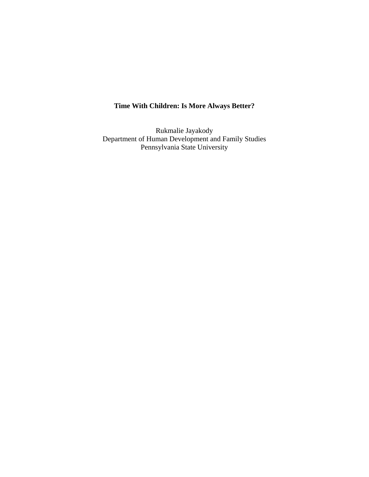# **Time With Children: Is More Always Better?**

Rukmalie Jayakody Department of Human Development and Family Studies Pennsylvania State University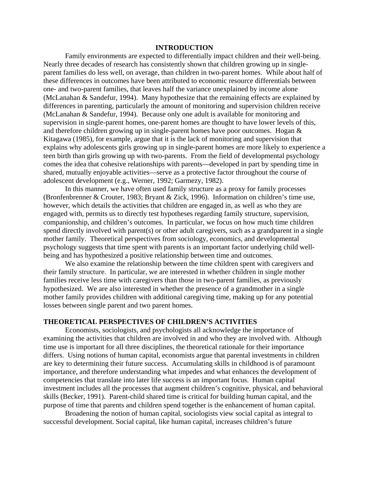#### **INTRODUCTION**

 Family environments are expected to differentially impact children and their well-being. Nearly three decades of research has consistently shown that children growing up in singleparent families do less well, on average, than children in two-parent homes. While about half of these differences in outcomes have been attributed to economic resource differentials between one- and two-parent families, that leaves half the variance unexplained by income alone (McLanahan & Sandefur, 1994). Many hypothesize that the remaining effects are explained by differences in parenting, particularly the amount of monitoring and supervision children receive (McLanahan & Sandefur, 1994). Because only one adult is available for monitoring and supervision in single-parent homes, one-parent homes are thought to have lower levels of this, and therefore children growing up in single-parent homes have poor outcomes. Hogan & Kitagawa (1985), for example, argue that it is the lack of monitoring and supervision that explains why adolescents girls growing up in single-parent homes are more likely to experience a teen birth than girls growing up with two-parents. From the field of developmental psychology comes the idea that cohesive relationships with parents—developed in part by spending time in shared, mutually enjoyable activities—serve as a protective factor throughout the course of adolescent development (e.g., Werner, 1992; Garmezy, 1982).

 In this manner, we have often used family structure as a proxy for family processes (Bronfenbrenner & Crouter, 1983; Bryant & Zick, 1996). Information on children's time use, however, which details the activities that children are engaged in, as well as who they are engaged with, permits us to directly test hypotheses regarding family structure, supervision, companionship, and children's outcomes. In particular, we focus on how much time children spend directly involved with parent(s) or other adult caregivers, such as a grandparent in a single mother family. Theoretical perspectives from sociology, economics, and developmental psychology suggests that time spent with parents is an important factor underlying child wellbeing and has hypothesized a positive relationship between time and outcomes.

 We also examine the relationship between the time children spent with caregivers and their family structure. In particular, we are interested in whether children in single mother families receive less time with caregivers than those in two-parent families, as previously hypothesized. We are also interested in whether the presence of a grandmother in a single mother family provides children with additional caregiving time, making up for any potential losses between single parent and two parent homes.

#### **THEORETICAL PERSPECTIVES OF CHILDREN'S ACTIVITIES**

 Economists, sociologists, and psychologists all acknowledge the importance of examining the activities that children are involved in and who they are involved with. Although time use is important for all three disciplines, the theoretical rationale for their importance differs. Using notions of human capital, economists argue that parental investments in children are key to determining their future success. Accumulating skills in childhood is of paramount importance, and therefore understanding what impedes and what enhances the development of competencies that translate into later life success is an important focus. Human capital investment includes all the processes that augment children's cognitive, physical, and behavioral skills (Becker, 1991). Parent-child shared time is critical for building human capital, and the purpose of time that parents and children spend together is the enhancement of human capital.

 Broadening the notion of human capital, sociologists view social capital as integral to successful development. Social capital, like human capital, increases children's future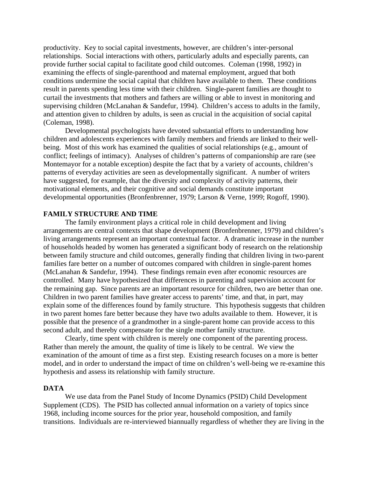productivity. Key to social capital investments, however, are children's inter-personal relationships. Social interactions with others, particularly adults and especially parents, can provide further social capital to facilitate good child outcomes. Coleman (1998, 1992) in examining the effects of single-parenthood and maternal employment, argued that both conditions undermine the social capital that children have available to them. These conditions result in parents spending less time with their children. Single-parent families are thought to curtail the investments that mothers and fathers are willing or able to invest in monitoring and supervising children (McLanahan & Sandefur, 1994). Children's access to adults in the family, and attention given to children by adults, is seen as crucial in the acquisition of social capital (Coleman, 1998).

 Developmental psychologists have devoted substantial efforts to understanding how children and adolescents experiences with family members and friends are linked to their wellbeing. Most of this work has examined the qualities of social relationships (e.g., amount of conflict; feelings of intimacy). Analyses of children's patterns of companionship are rare (see Montemayor for a notable exception) despite the fact that by a variety of accounts, children's patterns of everyday activities are seen as developmentally significant. A number of writers have suggested, for example, that the diversity and complexity of activity patterns, their motivational elements, and their cognitive and social demands constitute important developmental opportunities (Bronfenbrenner, 1979; Larson & Verne, 1999; Rogoff, 1990).

## **FAMILY STRUCTURE AND TIME**

 The family environment plays a critical role in child development and living arrangements are central contexts that shape development (Bronfenbrenner, 1979) and children's living arrangements represent an important contextual factor. A dramatic increase in the number of households headed by women has generated a significant body of research on the relationship between family structure and child outcomes, generally finding that children living in two-parent families fare better on a number of outcomes compared with children in single-parent homes (McLanahan & Sandefur, 1994). These findings remain even after economic resources are controlled. Many have hypothesized that differences in parenting and supervision account for the remaining gap. Since parents are an important resource for children, two are better than one. Children in two parent families have greater access to parents' time, and that, in part, may explain some of the differences found by family structure. This hypothesis suggests that children in two parent homes fare better because they have two adults available to them. However, it is possible that the presence of a grandmother in a single-parent home can provide access to this second adult, and thereby compensate for the single mother family structure.

 Clearly, time spent with children is merely one component of the parenting process. Rather than merely the amount, the quality of time is likely to be central. We view the examination of the amount of time as a first step. Existing research focuses on a more is better model, and in order to understand the impact of time on children's well-being we re-examine this hypothesis and assess its relationship with family structure.

### **DATA**

 We use data from the Panel Study of Income Dynamics (PSID) Child Development Supplement (CDS). The PSID has collected annual information on a variety of topics since 1968, including income sources for the prior year, household composition, and family transitions. Individuals are re-interviewed biannually regardless of whether they are living in the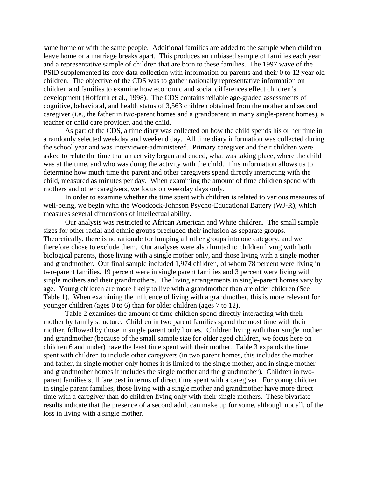same home or with the same people. Additional families are added to the sample when children leave home or a marriage breaks apart. This produces an unbiased sample of families each year and a representative sample of children that are born to these families. The 1997 wave of the PSID supplemented its core data collection with information on parents and their 0 to 12 year old children. The objective of the CDS was to gather nationally representative information on children and families to examine how economic and social differences effect children's development (Hofferth et al., 1998). The CDS contains reliable age-graded assessments of cognitive, behavioral, and health status of 3,563 children obtained from the mother and second caregiver (i.e., the father in two-parent homes and a grandparent in many single-parent homes), a teacher or child care provider, and the child.

 As part of the CDS, a time diary was collected on how the child spends his or her time in a randomly selected weekday and weekend day. All time diary information was collected during the school year and was interviewer-administered. Primary caregiver and their children were asked to relate the time that an activity began and ended, what was taking place, where the child was at the time, and who was doing the activity with the child. This information allows us to determine how much time the parent and other caregivers spend directly interacting with the child, measured as minutes per day. When examining the amount of time children spend with mothers and other caregivers, we focus on weekday days only.

 In order to examine whether the time spent with children is related to various measures of well-being, we begin with the Woodcock-Johnson Psycho-Educational Battery (WJ-R), which measures several dimensions of intellectual ability.

 Our analysis was restricted to African American and White children. The small sample sizes for other racial and ethnic groups precluded their inclusion as separate groups. Theoretically, there is no rationale for lumping all other groups into one category, and we therefore chose to exclude them. Our analyses were also limited to children living with both biological parents, those living with a single mother only, and those living with a single mother and grandmother. Our final sample included 1,974 children, of whom 78 percent were living in two-parent families, 19 percent were in single parent families and 3 percent were living with single mothers and their grandmothers. The living arrangements in single-parent homes vary by age. Young children are more likely to live with a grandmother than are older children (See Table 1). When examining the influence of living with a grandmother, this is more relevant for younger children (ages 0 to 6) than for older children (ages 7 to 12).

 Table 2 examines the amount of time children spend directly interacting with their mother by family structure. Children in two parent families spend the most time with their mother, followed by those in single parent only homes. Children living with their single mother and grandmother (because of the small sample size for older aged children, we focus here on children 6 and under) have the least time spent with their mother. Table 3 expands the time spent with children to include other caregivers (in two parent homes, this includes the mother and father, in single mother only homes it is limited to the single mother, and in single mother and grandmother homes it includes the single mother and the grandmother). Children in twoparent families still fare best in terms of direct time spent with a caregiver. For young children in single parent families, those living with a single mother and grandmother have more direct time with a caregiver than do children living only with their single mothers. These bivariate results indicate that the presence of a second adult can make up for some, although not all, of the loss in living with a single mother.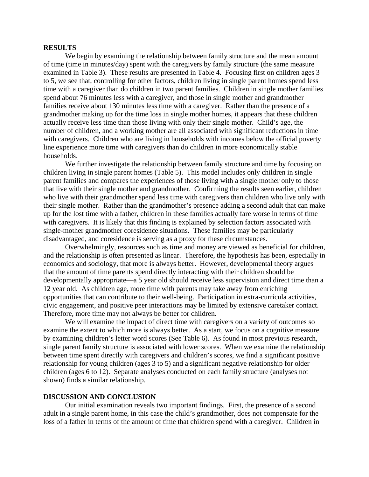#### **RESULTS**

 We begin by examining the relationship between family structure and the mean amount of time (time in minutes/day) spent with the caregivers by family structure (the same measure examined in Table 3). These results are presented in Table 4. Focusing first on children ages 3 to 5, we see that, controlling for other factors, children living in single parent homes spend less time with a caregiver than do children in two parent families. Children in single mother families spend about 76 minutes less with a caregiver, and those in single mother and grandmother families receive about 130 minutes less time with a caregiver. Rather than the presence of a grandmother making up for the time loss in single mother homes, it appears that these children actually receive less time than those living with only their single mother. Child's age, the number of children, and a working mother are all associated with significant reductions in time with caregivers. Children who are living in households with incomes below the official poverty line experience more time with caregivers than do children in more economically stable households.

 We further investigate the relationship between family structure and time by focusing on children living in single parent homes (Table 5). This model includes only children in single parent families and compares the experiences of those living with a single mother only to those that live with their single mother and grandmother. Confirming the results seen earlier, children who live with their grandmother spend less time with caregivers than children who live only with their single mother. Rather than the grandmother's presence adding a second adult that can make up for the lost time with a father, children in these families actually fare worse in terms of time with caregivers. It is likely that this finding is explained by selection factors associated with single-mother grandmother coresidence situations. These families may be particularly disadvantaged, and coresidence is serving as a proxy for these circumstances.

 Overwhelmingly, resources such as time and money are viewed as beneficial for children, and the relationship is often presented as linear. Therefore, the hypothesis has been, especially in economics and sociology, that more is always better. However, developmental theory argues that the amount of time parents spend directly interacting with their children should be developmentally appropriate—a 5 year old should receive less supervision and direct time than a 12 year old. As children age, more time with parents may take away from enriching opportunities that can contribute to their well-being. Participation in extra-curricula activities, civic engagement, and positive peer interactions may be limited by extensive caretaker contact. Therefore, more time may not always be better for children.

 We will examine the impact of direct time with caregivers on a variety of outcomes so examine the extent to which more is always better. As a start, we focus on a cognitive measure by examining children's letter word scores (See Table 6). As found in most previous research, single parent family structure is associated with lower scores. When we examine the relationship between time spent directly with caregivers and children's scores, we find a significant positive relationship for young children (ages 3 to 5) and a significant negative relationship for older children (ages 6 to 12). Separate analyses conducted on each family structure (analyses not shown) finds a similar relationship.

#### **DISCUSSION AND CONCLUSION**

 Our initial examination reveals two important findings. First, the presence of a second adult in a single parent home, in this case the child's grandmother, does not compensate for the loss of a father in terms of the amount of time that children spend with a caregiver. Children in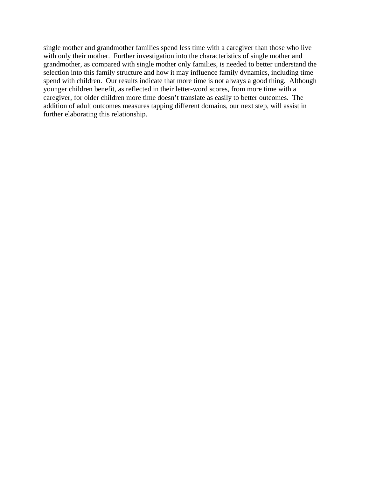single mother and grandmother families spend less time with a caregiver than those who live with only their mother. Further investigation into the characteristics of single mother and grandmother, as compared with single mother only families, is needed to better understand the selection into this family structure and how it may influence family dynamics, including time spend with children. Our results indicate that more time is not always a good thing. Although younger children benefit, as reflected in their letter-word scores, from more time with a caregiver, for older children more time doesn't translate as easily to better outcomes. The addition of adult outcomes measures tapping different domains, our next step, will assist in further elaborating this relationship.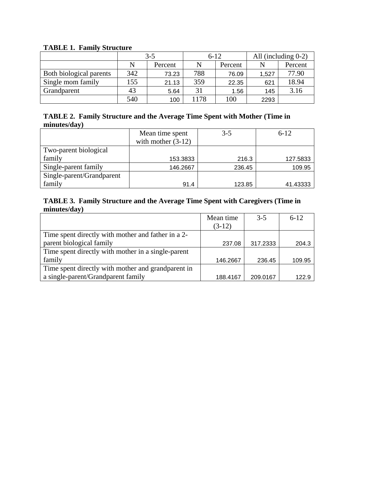| Thomas I, Tanni suidean |         |         |          |         |                        |         |
|-------------------------|---------|---------|----------|---------|------------------------|---------|
|                         | $3 - 5$ |         | $6 - 12$ |         | All (including $0-2$ ) |         |
|                         | N       | Percent | N        | Percent | N                      | Percent |
| Both biological parents | 342     | 73.23   | 788      | 76.09   | 1,527                  | 77.90   |
| Single mom family       | 155     | 21.13   | 359      | 22.35   | 621                    | 18.94   |
| Grandparent             | 43      | 5.64    | 31       | 1.56    | 145                    | 3.16    |
|                         | 540     | 100     | 1178     | 100     | 2293                   |         |

## **TABLE 1. Family Structure**

## **TABLE 2. Family Structure and the Average Time Spent with Mother (Time in minutes/day)**

|                           | Mean time spent      | $3 - 5$ | $6 - 12$ |
|---------------------------|----------------------|---------|----------|
|                           | with mother $(3-12)$ |         |          |
| Two-parent biological     |                      |         |          |
| family                    | 153.3833             | 216.3   | 127.5833 |
| Single-parent family      | 146.2667             | 236.45  | 109.95   |
| Single-parent/Grandparent |                      |         |          |
| family                    | 91.4                 | 123.85  | 41.43333 |

## **TABLE 3. Family Structure and the Average Time Spent with Caregivers (Time in minutes/day)**

|                                                    | Mean time | $3-5$    | $6 - 12$ |
|----------------------------------------------------|-----------|----------|----------|
|                                                    | $(3-12)$  |          |          |
| Time spent directly with mother and father in a 2- |           |          |          |
| parent biological family                           | 237.08    | 317.2333 | 204.3    |
| Time spent directly with mother in a single-parent |           |          |          |
| family                                             | 146.2667  | 236.45   | 109.95   |
| Time spent directly with mother and grandparent in |           |          |          |
| a single-parent/Grandparent family                 | 188.4167  | 209.0167 | 122.9    |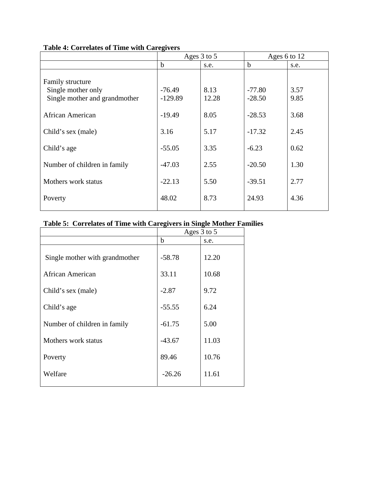|                                                                         | Ages 3 to 5           |               | Ages 6 to 12         |              |
|-------------------------------------------------------------------------|-----------------------|---------------|----------------------|--------------|
|                                                                         | $\mathbf b$           | s.e.          | $\mathbf b$          | s.e.         |
| Family structure<br>Single mother only<br>Single mother and grandmother | $-76.49$<br>$-129.89$ | 8.13<br>12.28 | $-77.80$<br>$-28.50$ | 3.57<br>9.85 |
| <b>African American</b>                                                 | $-19.49$              | 8.05          | $-28.53$             | 3.68         |
| Child's sex (male)                                                      | 3.16                  | 5.17          | $-17.32$             | 2.45         |
| Child's age                                                             | $-55.05$              | 3.35          | $-6.23$              | 0.62         |
| Number of children in family                                            | $-47.03$              | 2.55          | $-20.50$             | 1.30         |
| Mothers work status                                                     | $-22.13$              | 5.50          | $-39.51$             | 2.77         |
| Poverty                                                                 | 48.02                 | 8.73          | 24.93                | 4.36         |

## **Table 4: Correlates of Time with Caregivers**

# **Table 5: Correlates of Time with Caregivers in Single Mother Families**

|                                | Ages 3 to 5 |       |  |
|--------------------------------|-------------|-------|--|
|                                | $\mathbf b$ | s.e.  |  |
| Single mother with grandmother | $-58.78$    | 12.20 |  |
| African American               | 33.11       | 10.68 |  |
| Child's sex (male)             | $-2.87$     | 9.72  |  |
| Child's age                    | $-55.55$    | 6.24  |  |
| Number of children in family   | $-61.75$    | 5.00  |  |
| Mothers work status            | $-43.67$    | 11.03 |  |
| Poverty                        | 89.46       | 10.76 |  |
| Welfare                        | $-26.26$    | 11.61 |  |
|                                |             |       |  |